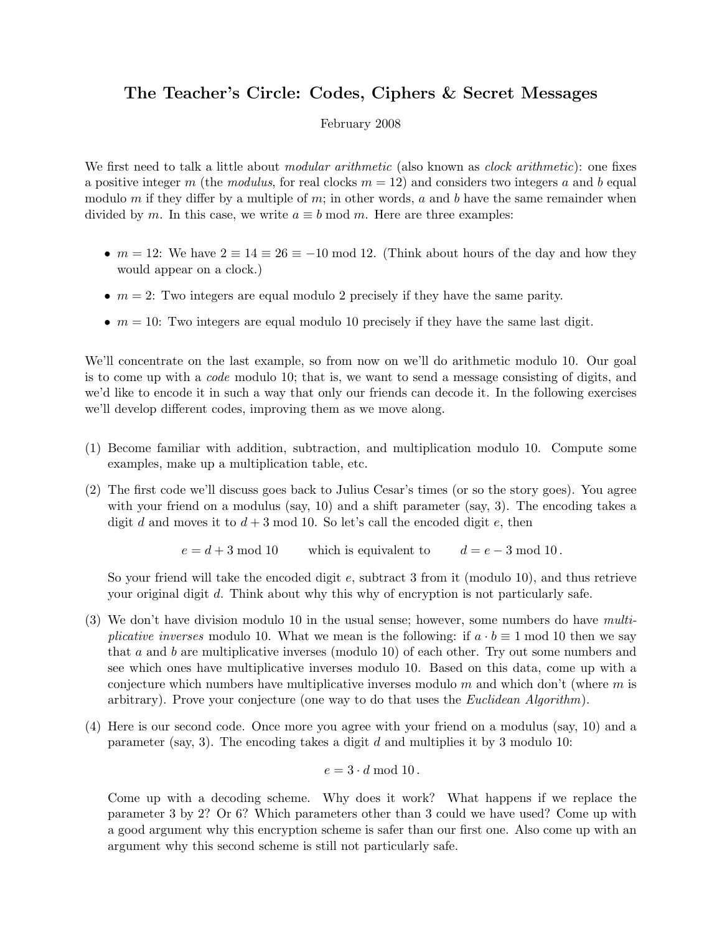## The Teacher's Circle: Codes, Ciphers & Secret Messages

## February 2008

We first need to talk a little about *modular arithmetic* (also known as *clock arithmetic*): one fixes a positive integer m (the modulus, for real clocks  $m = 12$ ) and considers two integers a and b equal modulo m if they differ by a multiple of m; in other words, a and b have the same remainder when divided by m. In this case, we write  $a \equiv b \mod m$ . Here are three examples:

- $m = 12$ : We have  $2 \equiv 14 \equiv 26 \equiv -10 \mod 12$ . (Think about hours of the day and how they would appear on a clock.)
- $m = 2$ : Two integers are equal modulo 2 precisely if they have the same parity.
- $m = 10$ : Two integers are equal modulo 10 precisely if they have the same last digit.

We'll concentrate on the last example, so from now on we'll do arithmetic modulo 10. Our goal is to come up with a code modulo 10; that is, we want to send a message consisting of digits, and we'd like to encode it in such a way that only our friends can decode it. In the following exercises we'll develop different codes, improving them as we move along.

- (1) Become familiar with addition, subtraction, and multiplication modulo 10. Compute some examples, make up a multiplication table, etc.
- (2) The first code we'll discuss goes back to Julius Cesar's times (or so the story goes). You agree with your friend on a modulus (say, 10) and a shift parameter (say, 3). The encoding takes a digit d and moves it to  $d+3$  mod 10. So let's call the encoded digit e, then

 $e = d + 3 \mod 10$  which is equivalent to  $d = e - 3 \mod 10$ .

So your friend will take the encoded digit  $e$ , subtract 3 from it (modulo 10), and thus retrieve your original digit d. Think about why this why of encryption is not particularly safe.

- (3) We don't have division modulo 10 in the usual sense; however, some numbers do have multiplicative inverses modulo 10. What we mean is the following: if  $a \cdot b \equiv 1 \text{ mod } 10$  then we say that a and b are multiplicative inverses (modulo 10) of each other. Try out some numbers and see which ones have multiplicative inverses modulo 10. Based on this data, come up with a conjecture which numbers have multiplicative inverses modulo m and which don't (where m is arbitrary). Prove your conjecture (one way to do that uses the *Euclidean Algorithm*).
- (4) Here is our second code. Once more you agree with your friend on a modulus (say, 10) and a parameter (say, 3). The encoding takes a digit  $d$  and multiplies it by 3 modulo 10:

$$
e=3\cdot d \bmod 10\,.
$$

Come up with a decoding scheme. Why does it work? What happens if we replace the parameter 3 by 2? Or 6? Which parameters other than 3 could we have used? Come up with a good argument why this encryption scheme is safer than our first one. Also come up with an argument why this second scheme is still not particularly safe.